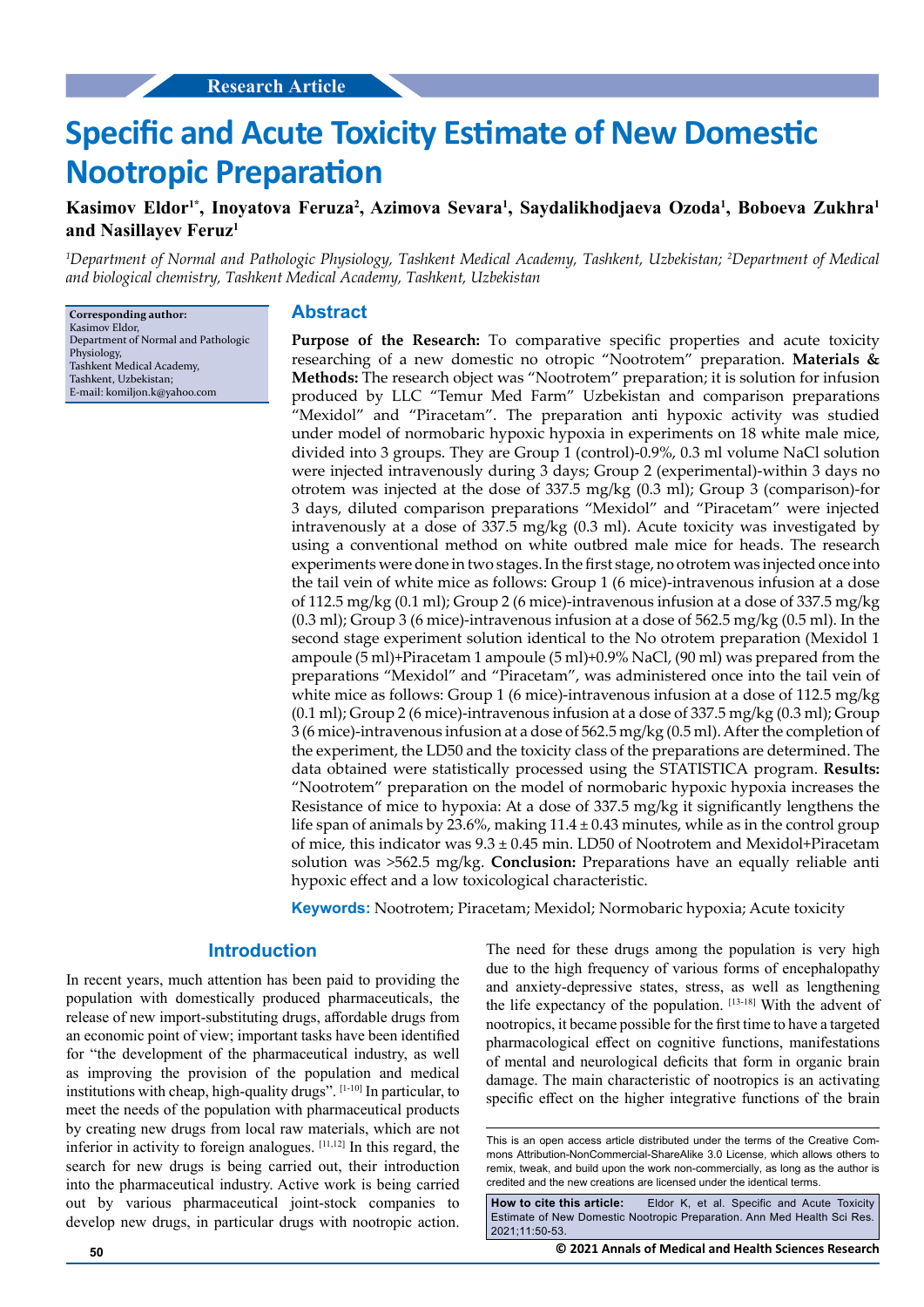# **Specific and Acute Toxicity Estimate of New Domestic Nootropic Preparation**

# **Kasimov Eldor1\*, Inoyatova Feruza2 , Azimova Sevara1 , Saydalikhodjaeva Ozoda1 , Boboeva Zukhra1 and Nasillayev Feruz1**

*1 Department of Normal and Pathologic Physiology, Tashkent Medical Academy, Tashkent, Uzbekistan; 2 Department of Medical and biological chemistry, Tashkent Medical Academy, Tashkent, Uzbekistan*

**Corresponding author:** Kasimov Eldor, Department of Normal and Pathologic Physiology, Tashkent Medical Academy, Tashkent, Uzbekistan; E-mail: komiljon.k@yahoo.com

#### **Abstract**

**Purpose of the Research:** To comparative specific properties and acute toxicity researching of a new domestic no otropic "Nootrotem" preparation. **Materials & Methods:** The research object was "Nootrotem" preparation; it is solution for infusion produced by LLC "Temur Med Farm" Uzbekistan and comparison preparations "Mexidol" and "Piracetam". The preparation anti hypoxic activity was studied under model of normobaric hypoxic hypoxia in experiments on 18 white male mice, divided into 3 groups. They are Group 1 (control)-0.9%, 0.3 ml volume NaCl solution were injected intravenously during 3 days; Group 2 (experimental)-within 3 days no otrotem was injected at the dose of 337.5 mg/kg (0.3 ml); Group 3 (comparison)-for 3 days, diluted comparison preparations "Mexidol" and "Piracetam" were injected intravenously at a dose of 337.5 mg/kg (0.3 ml). Acute toxicity was investigated by using a conventional method on white outbred male mice for heads. The research experiments were done in two stages. In the first stage, no otrotem was injected once into the tail vein of white mice as follows: Group 1 (6 mice)-intravenous infusion at a dose of 112.5 mg/kg (0.1 ml); Group 2 (6 mice)-intravenous infusion at a dose of 337.5 mg/kg  $(0.3 \text{ ml})$ ; Group 3 (6 mice)-intravenous infusion at a dose of 562.5 mg/kg  $(0.5 \text{ ml})$ . In the second stage experiment solution identical to the No otrotem preparation (Mexidol 1 ampoule (5 ml)+Piracetam 1 ampoule (5 ml)+0.9% NaCl, (90 ml) was prepared from the preparations "Mexidol" and "Piracetam", was administered once into the tail vein of white mice as follows: Group 1 (6 mice)-intravenous infusion at a dose of 112.5 mg/kg  $(0.1 \text{ ml})$ ; Group 2 (6 mice)-intravenous infusion at a dose of 337.5 mg/kg  $(0.3 \text{ ml})$ ; Group 3 (6 mice)-intravenous infusion at a dose of 562.5 mg/kg (0.5 ml). After the completion of the experiment, the LD50 and the toxicity class of the preparations are determined. The data obtained were statistically processed using the STATISTICA program. **Results:**  "Nootrotem" preparation on the model of normobaric hypoxic hypoxia increases the Resistance of mice to hypoxia: At a dose of 337.5 mg/kg it significantly lengthens the life span of animals by 23.6%, making  $11.4 \pm 0.43$  minutes, while as in the control group of mice, this indicator was  $9.3 \pm 0.45$  min. LD50 of Nootrotem and Mexidol+Piracetam solution was >562.5 mg/kg. **Conclusion:** Preparations have an equally reliable anti hypoxic effect and a low toxicological characteristic.

**Keywords:** Nootrotem; Piracetam; Mexidol; Normobaric hypoxia; Acute toxicity

## **Introduction**

In recent years, much attention has been paid to providing the population with domestically produced pharmaceuticals, the release of new import-substituting drugs, affordable drugs from an economic point of view; important tasks have been identified for "the development of the pharmaceutical industry, as well as improving the provision of the population and medical institutions with cheap, high-quality drugs".  $[1-10]$  In particular, to meet the needs of the population with pharmaceutical products by creating new drugs from local raw materials, which are not inferior in activity to foreign analogues. [11,12] In this regard, the search for new drugs is being carried out, their introduction into the pharmaceutical industry. Active work is being carried out by various pharmaceutical joint-stock companies to develop new drugs, in particular drugs with nootropic action.

The need for these drugs among the population is very high due to the high frequency of various forms of encephalopathy and anxiety-depressive states, stress, as well as lengthening the life expectancy of the population.  $[13-18]$  With the advent of nootropics, it became possible for the first time to have a targeted pharmacological effect on cognitive functions, manifestations of mental and neurological deficits that form in organic brain damage. The main characteristic of nootropics is an activating specific effect on the higher integrative functions of the brain

This is an open access article distributed under the terms of the Creative Commons Attribution-NonCommercial-ShareAlike 3.0 License, which allows others to remix, tweak, and build upon the work non‑commercially, as long as the author is credited and the new creations are licensed under the identical terms.

**How to cite this article:** Eldor K, et al. Specific and Acute Toxicity Estimate of New Domestic Nootropic Preparation. Ann Med Health Sci Res. 2021;11:50-53.

**50 © 2021 Annals of Medical and Health Sciences Research**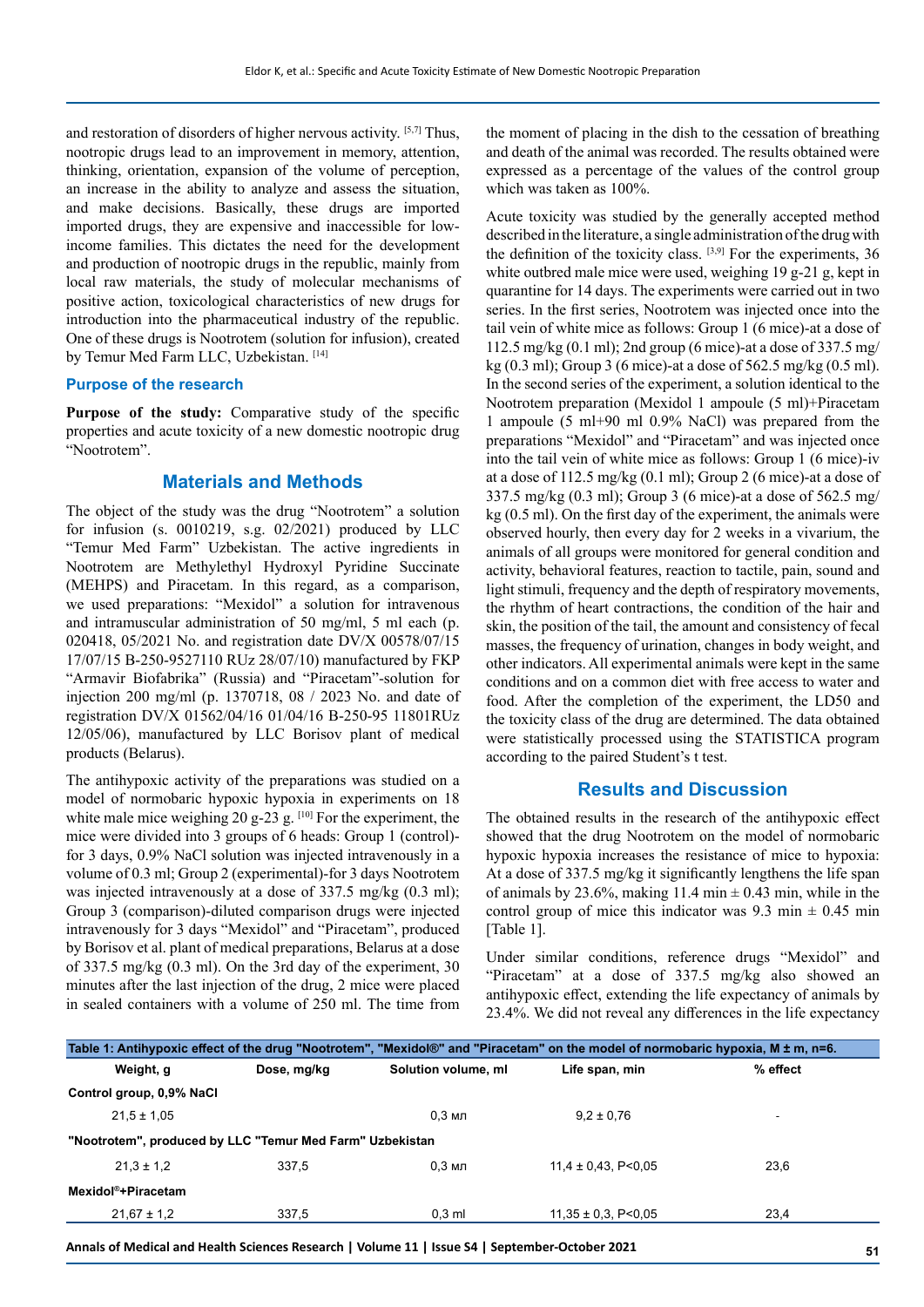and restoration of disorders of higher nervous activity. [5,7] Thus, nootropic drugs lead to an improvement in memory, attention, thinking, orientation, expansion of the volume of perception, an increase in the ability to analyze and assess the situation, and make decisions. Basically, these drugs are imported imported drugs, they are expensive and inaccessible for lowincome families. This dictates the need for the development and production of nootropic drugs in the republic, mainly from local raw materials, the study of molecular mechanisms of positive action, toxicological characteristics of new drugs for introduction into the pharmaceutical industry of the republic. One of these drugs is Nootrotem (solution for infusion), created by Temur Med Farm LLC, Uzbekistan. [14]

#### **Purpose of the research**

**Purpose of the study:** Comparative study of the specific properties and acute toxicity of a new domestic nootropic drug "Nootrotem".

## **Materials and Methods**

The object of the study was the drug "Nootrotem" a solution for infusion (s. 0010219, s.g. 02/2021) produced by LLC "Temur Med Farm" Uzbekistan. The active ingredients in Nootrotem are Methylethyl Hydroxyl Pyridine Succinate (MEHPS) and Piracetam. In this regard, as a comparison, we used preparations: "Mexidol" a solution for intravenous and intramuscular administration of 50 mg/ml, 5 ml each (p. 020418, 05/2021 No. and registration date DV/X 00578/07/15 17/07/15 B-250-9527110 RUz 28/07/10) manufactured by FKP "Armavir Biofabrika" (Russia) and "Piracetam"-solution for injection 200 mg/ml (p. 1370718, 08 / 2023 No. and date of registration DV/X 01562/04/16 01/04/16 B-250-95 11801RUz 12/05/06), manufactured by LLC Borisov plant of medical products (Belarus).

The antihypoxic activity of the preparations was studied on a model of normobaric hypoxic hypoxia in experiments on 18 white male mice weighing 20 g-23 g.  $[10]$  For the experiment, the mice were divided into 3 groups of 6 heads: Group 1 (control) for 3 days, 0.9% NaCl solution was injected intravenously in a volume of 0.3 ml; Group 2 (experimental)-for 3 days Nootrotem was injected intravenously at a dose of 337.5 mg/kg (0.3 ml); Group 3 (comparison)-diluted comparison drugs were injected intravenously for 3 days "Mexidol" and "Piracetam", produced by Borisov et al. plant of medical preparations, Belarus at a dose of 337.5 mg/kg (0.3 ml). On the 3rd day of the experiment, 30 minutes after the last injection of the drug, 2 mice were placed in sealed containers with a volume of 250 ml. The time from

the moment of placing in the dish to the cessation of breathing and death of the animal was recorded. The results obtained were expressed as a percentage of the values of the control group which was taken as 100%.

Acute toxicity was studied by the generally accepted method described in the literature, a single administration of the drug with the definition of the toxicity class. [3,9] For the experiments, 36 white outbred male mice were used, weighing 19 g-21 g, kept in quarantine for 14 days. The experiments were carried out in two series. In the first series, Nootrotem was injected once into the tail vein of white mice as follows: Group 1 (6 mice)-at a dose of 112.5 mg/kg (0.1 ml); 2nd group (6 mice)-at a dose of 337.5 mg/ kg (0.3 ml); Group 3 (6 mice)-at a dose of 562.5 mg/kg (0.5 ml). In the second series of the experiment, a solution identical to the Nootrotem preparation (Mexidol 1 ampoule (5 ml)+Piracetam 1 ampoule (5 ml+90 ml 0.9% NaCl) was prepared from the preparations "Mexidol" and "Piracetam" and was injected once into the tail vein of white mice as follows: Group 1 (6 mice)-iv at a dose of  $112.5 \text{ mg/kg}$  (0.1 ml); Group 2 (6 mice)-at a dose of 337.5 mg/kg (0.3 ml); Group 3 (6 mice)-at a dose of 562.5 mg/ kg (0.5 ml). On the first day of the experiment, the animals were observed hourly, then every day for 2 weeks in a vivarium, the animals of all groups were monitored for general condition and activity, behavioral features, reaction to tactile, pain, sound and light stimuli, frequency and the depth of respiratory movements, the rhythm of heart contractions, the condition of the hair and skin, the position of the tail, the amount and consistency of fecal masses, the frequency of urination, changes in body weight, and other indicators. All experimental animals were kept in the same conditions and on a common diet with free access to water and food. After the completion of the experiment, the LD50 and the toxicity class of the drug are determined. The data obtained were statistically processed using the STATISTICA program according to the paired Student's t test.

## **Results and Discussion**

The obtained results in the research of the antihypoxic effect showed that the drug Nootrotem on the model of normobaric hypoxic hypoxia increases the resistance of mice to hypoxia: At a dose of 337.5 mg/kg it significantly lengthens the life span of animals by 23.6%, making 11.4 min  $\pm$  0.43 min, while in the control group of mice this indicator was  $9.3 \text{ min} \pm 0.45 \text{ min}$ [Table 1].

Under similar conditions, reference drugs "Mexidol" and "Piracetam" at a dose of 337.5 mg/kg also showed an antihypoxic effect, extending the life expectancy of animals by 23.4%. We did not reveal any differences in the life expectancy

| Table 1: Antihypoxic effect of the drug "Nootrotem", "Mexidol®" and "Piracetam" on the model of normobaric hypoxia, M ± m, n=6. |             |                     |                          |                          |  |  |  |  |
|---------------------------------------------------------------------------------------------------------------------------------|-------------|---------------------|--------------------------|--------------------------|--|--|--|--|
| Weight, g                                                                                                                       | Dose, mg/kg | Solution volume, ml | Life span, min           | % effect                 |  |  |  |  |
| Control group, 0,9% NaCl                                                                                                        |             |                     |                          |                          |  |  |  |  |
| $21.5 \pm 1.05$                                                                                                                 |             | $0.3$ мл            | $9.2 \pm 0.76$           | $\overline{\phantom{a}}$ |  |  |  |  |
| "Nootrotem", produced by LLC "Temur Med Farm" Uzbekistan                                                                        |             |                     |                          |                          |  |  |  |  |
| $21.3 \pm 1.2$                                                                                                                  | 337.5       | $0.3$ мл            | $11.4 \pm 0.43$ . P<0.05 | 23.6                     |  |  |  |  |
| Mexidol <sup>®</sup> +Piracetam                                                                                                 |             |                     |                          |                          |  |  |  |  |
| $21,67 \pm 1,2$                                                                                                                 | 337,5       | $0.3$ ml            | $11,35 \pm 0.3$ , P<0.05 | 23,4                     |  |  |  |  |

**Annals of Medical and Health Sciences Research | Volume 11 | Issue S4 | September-October 2021 51**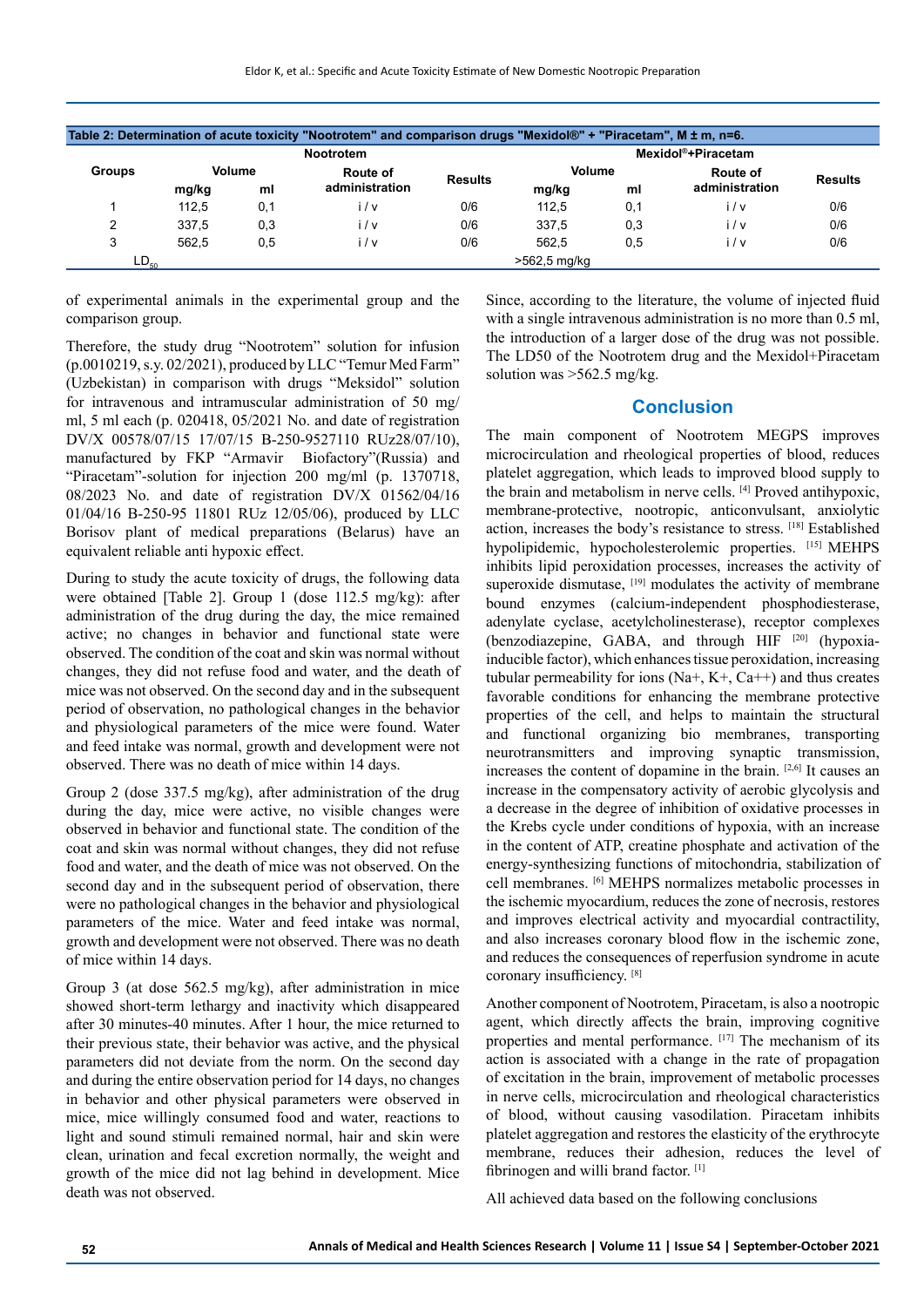|               | <b>Nootrotem</b> |     |                |                | Mexidol <sup>®</sup> +Piracetam |     |                 |                |
|---------------|------------------|-----|----------------|----------------|---------------------------------|-----|-----------------|----------------|
| <b>Groups</b> | <b>Volume</b>    |     | Route of       |                | Volume                          |     | <b>Route of</b> |                |
|               | mg/kg            | ml  | administration | <b>Results</b> | mg/kg                           | ml  | administration  | <b>Results</b> |
|               | 112.5            | 0.1 | i/v            | 0/6            | 112.5                           | 0,1 | i/v             | 0/6            |
|               | 337.5            | 0,3 | i/v            | 0/6            | 337.5                           | 0,3 | i/v             | 0/6            |
| 3             | 562.5            | 0.5 | i/v            | 0/6            | 562.5                           | 0.5 | i/v             | 0/6            |
| $LD_{50}$     |                  |     |                |                | >562,5 mg/kg                    |     |                 |                |

of experimental animals in the experimental group and the comparison group.

Therefore, the study drug "Nootrotem" solution for infusion (p.0010219, s.y. 02/2021), produced by LLC "Temur Med Farm" (Uzbekistan) in comparison with drugs "Meksidol" solution for intravenous and intramuscular administration of 50 mg/ ml, 5 ml each (p. 020418, 05/2021 No. and date of registration DV/X 00578/07/15 17/07/15 B-250-9527110 RUz28/07/10), manufactured by FKP "Armavir Biofactory"(Russia) and "Piracetam"-solution for injection 200 mg/ml (p. 1370718, 08/2023 No. and date of registration DV/X 01562/04/16 01/04/16 B-250-95 11801 RUz 12/05/06), produced by LLC Borisov plant of medical preparations (Belarus) have an equivalent reliable anti hypoxic effect.

During to study the acute toxicity of drugs, the following data were obtained [Table 2]. Group 1 (dose 112.5 mg/kg): after administration of the drug during the day, the mice remained active; no changes in behavior and functional state were observed. The condition of the coat and skin was normal without changes, they did not refuse food and water, and the death of mice was not observed. On the second day and in the subsequent period of observation, no pathological changes in the behavior and physiological parameters of the mice were found. Water and feed intake was normal, growth and development were not observed. There was no death of mice within 14 days.

Group 2 (dose 337.5 mg/kg), after administration of the drug during the day, mice were active, no visible changes were observed in behavior and functional state. The condition of the coat and skin was normal without changes, they did not refuse food and water, and the death of mice was not observed. On the second day and in the subsequent period of observation, there were no pathological changes in the behavior and physiological parameters of the mice. Water and feed intake was normal, growth and development were not observed. There was no death of mice within 14 days.

Group 3 (at dose 562.5 mg/kg), after administration in mice showed short-term lethargy and inactivity which disappeared after 30 minutes-40 minutes. After 1 hour, the mice returned to their previous state, their behavior was active, and the physical parameters did not deviate from the norm. On the second day and during the entire observation period for 14 days, no changes in behavior and other physical parameters were observed in mice, mice willingly consumed food and water, reactions to light and sound stimuli remained normal, hair and skin were clean, urination and fecal excretion normally, the weight and growth of the mice did not lag behind in development. Mice death was not observed.

Since, according to the literature, the volume of injected fluid with a single intravenous administration is no more than 0.5 ml. the introduction of a larger dose of the drug was not possible. The LD50 of the Nootrotem drug and the Mexidol+Piracetam solution was >562.5 mg/kg.

## **Conclusion**

The main component of Nootrotem MEGPS improves microcirculation and rheological properties of blood, reduces platelet aggregation, which leads to improved blood supply to the brain and metabolism in nerve cells. [4] Proved antihypoxic, membrane-protective, nootropic, anticonvulsant, anxiolytic action, increases the body's resistance to stress. [18] Established hypolipidemic, hypocholesterolemic properties. [15] MEHPS inhibits lipid peroxidation processes, increases the activity of superoxide dismutase, [19] modulates the activity of membrane bound enzymes (calcium-independent phosphodiesterase, adenylate cyclase, acetylcholinesterase), receptor complexes (benzodiazepine, GABA, and through  $HIF$ <sup>[20]</sup> (hypoxiainducible factor), which enhances tissue peroxidation, increasing tubular permeability for ions  $(Na+, K+, Ca^{++})$  and thus creates favorable conditions for enhancing the membrane protective properties of the cell, and helps to maintain the structural and functional organizing bio membranes, transporting neurotransmitters and improving synaptic transmission, increases the content of dopamine in the brain. [2,6] It causes an increase in the compensatory activity of aerobic glycolysis and a decrease in the degree of inhibition of oxidative processes in the Krebs cycle under conditions of hypoxia, with an increase in the content of ATP, creatine phosphate and activation of the energy-synthesizing functions of mitochondria, stabilization of cell membranes. [6] MEHPS normalizes metabolic processes in the ischemic myocardium, reduces the zone of necrosis, restores and improves electrical activity and myocardial contractility, and also increases coronary blood flow in the ischemic zone, and reduces the consequences of reperfusion syndrome in acute coronary insufficiency. [8]

Another component of Nootrotem, Piracetam, is also a nootropic agent, which directly affects the brain, improving cognitive properties and mental performance. [17] The mechanism of its action is associated with a change in the rate of propagation of excitation in the brain, improvement of metabolic processes in nerve cells, microcirculation and rheological characteristics of blood, without causing vasodilation. Piracetam inhibits platelet aggregation and restores the elasticity of the erythrocyte membrane, reduces their adhesion, reduces the level of fibrinogen and willi brand factor. [1]

All achieved data based on the following conclusions